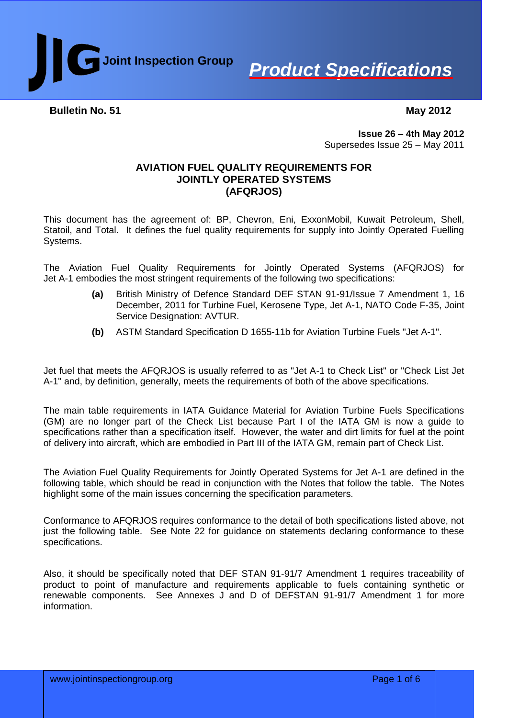



**Bulletin No. 51** 

 **May 2012**

**Issue 26 – 4th May 2012** Supersedes Issue 25 – May 2011

### **AVIATION FUEL QUALITY REQUIREMENTS FOR JOINTLY OPERATED SYSTEMS (AFQRJOS)**

This document has the agreement of: BP, Chevron, Eni, ExxonMobil, Kuwait Petroleum, Shell, Statoil, and Total. It defines the fuel quality requirements for supply into Jointly Operated Fuelling Systems.

The Aviation Fuel Quality Requirements for Jointly Operated Systems (AFQRJOS) for Jet A-1 embodies the most stringent requirements of the following two specifications:

- **(a)** British Ministry of Defence Standard DEF STAN 91-91/Issue 7 Amendment 1, 16 December, 2011 for Turbine Fuel, Kerosene Type, Jet A-1, NATO Code F-35, Joint Service Designation: AVTUR.
- **(b)** ASTM Standard Specification D 1655-11b for Aviation Turbine Fuels "Jet A-1".

Jet fuel that meets the AFQRJOS is usually referred to as "Jet A-1 to Check List" or "Check List Jet A-1" and, by definition, generally, meets the requirements of both of the above specifications.

The main table requirements in IATA Guidance Material for Aviation Turbine Fuels Specifications (GM) are no longer part of the Check List because Part I of the IATA GM is now a guide to specifications rather than a specification itself. However, the water and dirt limits for fuel at the point of delivery into aircraft, which are embodied in Part III of the IATA GM, remain part of Check List.

The Aviation Fuel Quality Requirements for Jointly Operated Systems for Jet A-1 are defined in the following table, which should be read in conjunction with the Notes that follow the table. The Notes highlight some of the main issues concerning the specification parameters.

Conformance to AFQRJOS requires conformance to the detail of both specifications listed above, not just the following table. See Note 22 for guidance on statements declaring conformance to these specifications.

Also, it should be specifically noted that DEF STAN 91-91/7 Amendment 1 requires traceability of product to point of manufacture and requirements applicable to fuels containing synthetic or renewable components. See Annexes J and D of DEFSTAN 91-91/7 Amendment 1 for more information.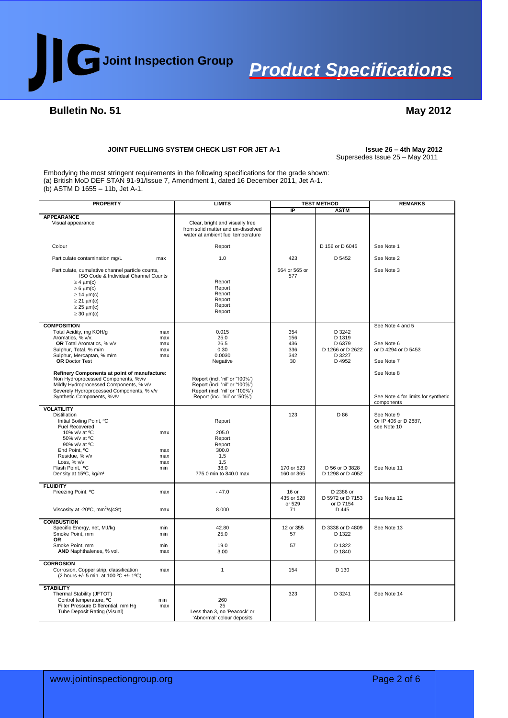

#### **Bulletin No. 51**

#### **May 2012**

#### **JOINT FUELLING SYSTEM CHECK LIST FOR JET A-1 Issue 26 – 4th May 2012**

### Supersedes Issue 25 – May 2011

Embodying the most stringent requirements in the following specifications for the grade shown: (a) British MoD DEF STAN 91-91/Issue 7, Amendment 1, dated 16 December 2011, Jet A-1. (b) ASTM D 1655 – 11b, Jet A-1.

| <b>PROPERTY</b>                                                                                                                                                                                           |                                 | <b>LIMITS</b>                                                                                                                       |                                       | <b>TEST METHOD</b>                                                 | <b>REMARKS</b>                                                  |
|-----------------------------------------------------------------------------------------------------------------------------------------------------------------------------------------------------------|---------------------------------|-------------------------------------------------------------------------------------------------------------------------------------|---------------------------------------|--------------------------------------------------------------------|-----------------------------------------------------------------|
|                                                                                                                                                                                                           |                                 |                                                                                                                                     | IP                                    | <b>ASTM</b>                                                        |                                                                 |
| <b>APPEARANCE</b><br>Visual appearance                                                                                                                                                                    |                                 | Clear, bright and visually free<br>from solid matter and un-dissolved<br>water at ambient fuel temperature                          |                                       |                                                                    |                                                                 |
| Colour                                                                                                                                                                                                    |                                 | Report                                                                                                                              |                                       | D 156 or D 6045                                                    | See Note 1                                                      |
| Particulate contamination mg/L                                                                                                                                                                            | max                             | 1.0                                                                                                                                 | 423                                   | D 5452                                                             | See Note 2                                                      |
| Particulate, cumulative channel particle counts,<br>ISO Code & Individual Channel Counts<br>$\geq 4$ um(c)<br>$\geq 6$ µm(c)<br>$\geq$ 14 $\mu$ m(c)                                                      |                                 | Report<br>Report<br>Report                                                                                                          | 564 or 565 or<br>577                  |                                                                    | See Note 3                                                      |
| $\geq$ 21 $\mu$ m(c)<br>$\geq$ 25 $\mu$ m(c)<br>$\geq$ 30 $\mu$ m(c)                                                                                                                                      |                                 | Report<br>Report<br>Report                                                                                                          |                                       |                                                                    |                                                                 |
| <b>COMPOSITION</b>                                                                                                                                                                                        |                                 |                                                                                                                                     |                                       |                                                                    | See Note 4 and 5                                                |
| Total Acidity, mg KOH/g<br>Aromatics, % v/v.<br>OR Total Aromatics, % v/v<br>Sulphur, Total, % m/m<br>Sulphur, Mercaptan, % m/m<br>OR Doctor Test                                                         | max<br>max<br>max<br>max<br>max | 0.015<br>25.0<br>26.5<br>0.30<br>0.0030<br>Negative                                                                                 | 354<br>156<br>436<br>336<br>342<br>30 | D 3242<br>D 1319<br>D 6379<br>D 1266 or D 2622<br>D 3227<br>D 4952 | See Note 6<br>or D 4294 or D 5453<br>See Note 7                 |
| Refinery Components at point of manufacture:<br>Non Hydroprocessed Components. %v/v<br>Mildly Hydroprocessed Components, % v/v<br>Severely Hydroprocessed Components, % v/v<br>Synthetic Components, %v/v |                                 | Report (incl. 'nil' or '100%')<br>Report (incl. 'nil' or '100%')<br>Report (incl. 'nil' or '100%')<br>Report (incl. 'nil' or '50%') |                                       |                                                                    | See Note 8<br>See Note 4 for limits for synthetic<br>components |
| <b>VOLATILITY</b><br><b>Distillation</b><br>Initial Boiling Point, °C<br>Fuel Recovered<br>10% v/v at °C<br>50% v/v at °C<br>90% v/v at °C<br>End Point, °C<br>Residue, % v/v                             | max<br>max<br>max               | Report<br>205.0<br>Report<br>Report<br>300.0<br>1.5                                                                                 | 123                                   | D 86                                                               | See Note 9<br>Or IP 406 or D 2887,<br>see Note 10               |
| Loss, % v/v<br>Flash Point, °C<br>Density at 15°C, kg/m <sup>3</sup>                                                                                                                                      | max<br>min                      | 1.5<br>38.0<br>775.0 min to 840.0 max                                                                                               | 170 or 523<br>160 or 365              | D 56 or D 3828<br>D 1298 or D 4052                                 | See Note 11                                                     |
| <b>FLUIDITY</b><br>Freezing Point, °C<br>Viscosity at -20 $\degree$ C, mm <sup>2</sup> /s(cSt)                                                                                                            | max<br>max                      | $-47.0$<br>8.000                                                                                                                    | $16$ or<br>435 or 528<br>or 529<br>71 | D 2386 or<br>D 5972 or D 7153<br>or D 7154<br>D 445                | See Note 12                                                     |
|                                                                                                                                                                                                           |                                 |                                                                                                                                     |                                       |                                                                    |                                                                 |
| <b>COMBUSTION</b><br>Specific Energy, net, MJ/kg<br>Smoke Point, mm<br><b>OR</b>                                                                                                                          | min<br>min                      | 42.80<br>25.0                                                                                                                       | 12 or 355<br>57                       | D 3338 or D 4809<br>D 1322                                         | See Note 13                                                     |
| Smoke Point, mm<br>AND Naphthalenes, % vol.                                                                                                                                                               | min<br>max                      | 19.0<br>3.00                                                                                                                        | 57                                    | D 1322<br>D 1840                                                   |                                                                 |
| <b>CORROSION</b><br>Corrosion, Copper strip, classification<br>(2 hours +/- 5 min. at 100 °C +/- 1°C)                                                                                                     | max                             | $\mathbf{1}$                                                                                                                        | 154                                   | D 130                                                              |                                                                 |
| <b>STABILITY</b><br>Thermal Stability (JFTOT)<br>Control temperature, °C<br>Filter Pressure Differential, mm Hq<br>Tube Deposit Rating (Visual)                                                           | min<br>max                      | 260<br>25<br>Less than 3, no 'Peacock' or<br>'Abnormal' colour deposits                                                             | 323                                   | D 3241                                                             | See Note 14                                                     |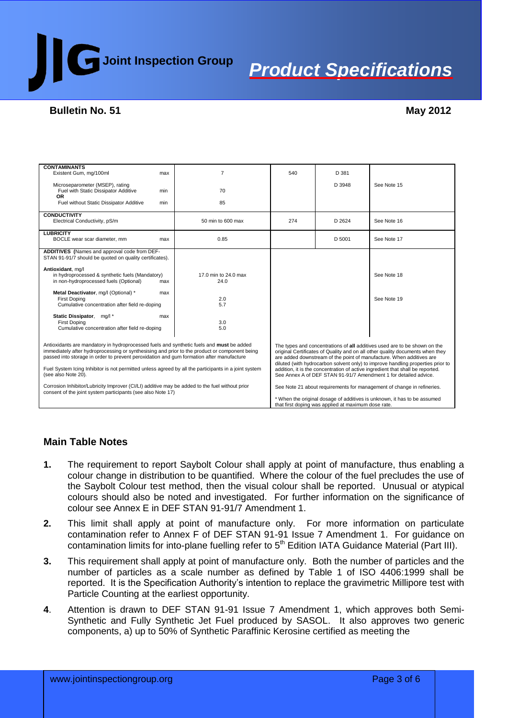

### **Bulletin No. 51**

| <b>CONTAMINANTS</b>                                                                                                         |     |                                                                               |                                                                                                                                                    |        |                                                                      |
|-----------------------------------------------------------------------------------------------------------------------------|-----|-------------------------------------------------------------------------------|----------------------------------------------------------------------------------------------------------------------------------------------------|--------|----------------------------------------------------------------------|
| Existent Gum, mg/100ml                                                                                                      | max | $\overline{7}$                                                                | 540                                                                                                                                                | D 381  |                                                                      |
|                                                                                                                             |     |                                                                               |                                                                                                                                                    |        |                                                                      |
| Microseparometer (MSEP), rating                                                                                             |     |                                                                               |                                                                                                                                                    | D 3948 | See Note 15                                                          |
| Fuel with Static Dissipator Additive<br><b>OR</b>                                                                           | min | 70                                                                            |                                                                                                                                                    |        |                                                                      |
| Fuel without Static Dissipator Additive                                                                                     | min | 85                                                                            |                                                                                                                                                    |        |                                                                      |
|                                                                                                                             |     |                                                                               |                                                                                                                                                    |        |                                                                      |
| <b>CONDUCTIVITY</b>                                                                                                         |     |                                                                               |                                                                                                                                                    |        |                                                                      |
| Electrical Conductivity, pS/m                                                                                               |     | 50 min to 600 max                                                             | 274                                                                                                                                                | D 2624 | See Note 16                                                          |
|                                                                                                                             |     |                                                                               |                                                                                                                                                    |        |                                                                      |
| <b>LUBRICITY</b><br>BOCLE wear scar diameter, mm                                                                            |     | 0.85                                                                          |                                                                                                                                                    | D 5001 | See Note 17                                                          |
|                                                                                                                             | max |                                                                               |                                                                                                                                                    |        |                                                                      |
| ADDITIVES (Names and approval code from DEF-                                                                                |     |                                                                               |                                                                                                                                                    |        |                                                                      |
| STAN 91-91/7 should be quoted on quality certificates).                                                                     |     |                                                                               |                                                                                                                                                    |        |                                                                      |
|                                                                                                                             |     |                                                                               |                                                                                                                                                    |        |                                                                      |
| Antioxidant, mq/l                                                                                                           |     |                                                                               |                                                                                                                                                    |        |                                                                      |
| in hydroprocessed & synthetic fuels (Mandatory)                                                                             |     | 17.0 min to 24.0 max                                                          |                                                                                                                                                    |        | See Note 18                                                          |
| in non-hydroprocessed fuels (Optional)                                                                                      | max | 24.0                                                                          |                                                                                                                                                    |        |                                                                      |
| Metal Deactivator, mg/l (Optional) *                                                                                        | max |                                                                               |                                                                                                                                                    |        |                                                                      |
| <b>First Doping</b>                                                                                                         |     | 2.0                                                                           |                                                                                                                                                    |        | See Note 19                                                          |
| Cumulative concentration after field re-doping                                                                              |     | 5.7                                                                           |                                                                                                                                                    |        |                                                                      |
|                                                                                                                             |     |                                                                               |                                                                                                                                                    |        |                                                                      |
| Static Dissipator, mg/l*                                                                                                    | max |                                                                               |                                                                                                                                                    |        |                                                                      |
| <b>First Doping</b><br>Cumulative concentration after field re-doping                                                       |     | 3.0<br>5.0                                                                    |                                                                                                                                                    |        |                                                                      |
|                                                                                                                             |     |                                                                               |                                                                                                                                                    |        |                                                                      |
|                                                                                                                             |     |                                                                               |                                                                                                                                                    |        |                                                                      |
| Antioxidants are mandatory in hydroprocessed fuels and synthetic fuels and must be added                                    |     |                                                                               | The types and concentrations of all additives used are to be shown on the                                                                          |        |                                                                      |
| immediately after hydroprocessing or synthesising and prior to the product or component being                               |     | original Certificates of Quality and on all other quality documents when they |                                                                                                                                                    |        |                                                                      |
| passed into storage in order to prevent peroxidation and gum formation after manufacture                                    |     |                                                                               |                                                                                                                                                    |        | are added downstream of the point of manufacture. When additives are |
|                                                                                                                             |     |                                                                               | diluted (with hydrocarbon solvent only) to improve handling properties prior to                                                                    |        |                                                                      |
| Fuel System Icing Inhibitor is not permitted unless agreed by all the participants in a joint system<br>(see also Note 20). |     |                                                                               | addition, it is the concentration of active ingredient that shall be reported.<br>See Annex A of DEF STAN 91-91/7 Amendment 1 for detailed advice. |        |                                                                      |
|                                                                                                                             |     |                                                                               |                                                                                                                                                    |        |                                                                      |
| Corrosion Inhibitor/Lubricity Improver (CI/LI) additive may be added to the fuel without prior                              |     |                                                                               | See Note 21 about requirements for management of change in refineries.                                                                             |        |                                                                      |
| consent of the joint system participants (see also Note 17)                                                                 |     |                                                                               |                                                                                                                                                    |        |                                                                      |
|                                                                                                                             |     |                                                                               | * When the original dosage of additives is unknown, it has to be assumed                                                                           |        |                                                                      |
|                                                                                                                             |     | that first doping was applied at maximum dose rate.                           |                                                                                                                                                    |        |                                                                      |

### **Main Table Notes**

- **1.** The requirement to report Saybolt Colour shall apply at point of manufacture, thus enabling a colour change in distribution to be quantified. Where the colour of the fuel precludes the use of the Saybolt Colour test method, then the visual colour shall be reported. Unusual or atypical colours should also be noted and investigated. For further information on the significance of colour see Annex E in DEF STAN 91-91/7 Amendment 1.
- **2.** This limit shall apply at point of manufacture only. For more information on particulate contamination refer to Annex F of DEF STAN 91-91 Issue 7 Amendment 1. For guidance on contamination limits for into-plane fuelling refer to 5<sup>th</sup> Edition IATA Guidance Material (Part III).
- **3.** This requirement shall apply at point of manufacture only. Both the number of particles and the number of particles as a scale number as defined by Table 1 of ISO 4406:1999 shall be reported. It is the Specification Authority's intention to replace the gravimetric Millipore test with Particle Counting at the earliest opportunity.
- **4**. Attention is drawn to DEF STAN 91-91 Issue 7 Amendment 1, which approves both Semi-Synthetic and Fully Synthetic Jet Fuel produced by SASOL. It also approves two generic components, a) up to 50% of Synthetic Paraffinic Kerosine certified as meeting the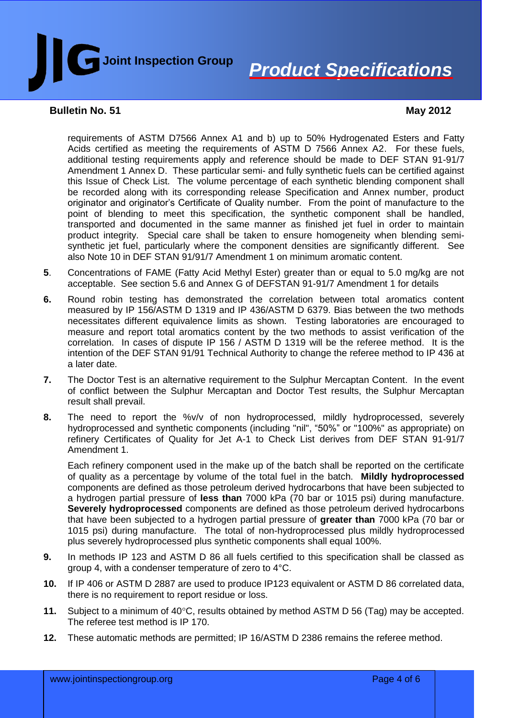

#### **Bulletin No. 51**

### **May 2012**

requirements of ASTM D7566 Annex A1 and b) up to 50% Hydrogenated Esters and Fatty Acids certified as meeting the requirements of ASTM D 7566 Annex A2. For these fuels, additional testing requirements apply and reference should be made to DEF STAN 91-91/7 Amendment 1 Annex D. These particular semi- and fully synthetic fuels can be certified against this Issue of Check List. The volume percentage of each synthetic blending component shall be recorded along with its corresponding release Specification and Annex number, product originator and originator's Certificate of Quality number. From the point of manufacture to the point of blending to meet this specification, the synthetic component shall be handled, transported and documented in the same manner as finished jet fuel in order to maintain product integrity. Special care shall be taken to ensure homogeneity when blending semisynthetic jet fuel, particularly where the component densities are significantly different. See also Note 10 in DEF STAN 91/91/7 Amendment 1 on minimum aromatic content.

- **5**. Concentrations of FAME (Fatty Acid Methyl Ester) greater than or equal to 5.0 mg/kg are not acceptable. See section 5.6 and Annex G of DEFSTAN 91-91/7 Amendment 1 for details
- **6.** Round robin testing has demonstrated the correlation between total aromatics content measured by IP 156/ASTM D 1319 and IP 436/ASTM D 6379. Bias between the two methods necessitates different equivalence limits as shown. Testing laboratories are encouraged to measure and report total aromatics content by the two methods to assist verification of the correlation. In cases of dispute IP 156 / ASTM D 1319 will be the referee method. It is the intention of the DEF STAN 91/91 Technical Authority to change the referee method to IP 436 at a later date.
- **7.** The Doctor Test is an alternative requirement to the Sulphur Mercaptan Content. In the event of conflict between the Sulphur Mercaptan and Doctor Test results, the Sulphur Mercaptan result shall prevail.
- **8.** The need to report the %v/v of non hydroprocessed, mildly hydroprocessed, severely hydroprocessed and synthetic components (including "nil", "50%" or "100%" as appropriate) on refinery Certificates of Quality for Jet A-1 to Check List derives from DEF STAN 91-91/7 Amendment 1.

Each refinery component used in the make up of the batch shall be reported on the certificate of quality as a percentage by volume of the total fuel in the batch. **Mildly hydroprocessed** components are defined as those petroleum derived hydrocarbons that have been subjected to a hydrogen partial pressure of **less than** 7000 kPa (70 bar or 1015 psi) during manufacture. **Severely hydroprocessed** components are defined as those petroleum derived hydrocarbons that have been subjected to a hydrogen partial pressure of **greater than** 7000 kPa (70 bar or 1015 psi) during manufacture. The total of non-hydroprocessed plus mildly hydroprocessed plus severely hydroprocessed plus synthetic components shall equal 100%.

- **9.** In methods IP 123 and ASTM D 86 all fuels certified to this specification shall be classed as group 4, with a condenser temperature of zero to 4°C.
- **10.** If IP 406 or ASTM D 2887 are used to produce IP123 equivalent or ASTM D 86 correlated data, there is no requirement to report residue or loss.
- **11.** Subject to a minimum of 40°C, results obtained by method ASTM D 56 (Tag) may be accepted. The referee test method is IP 170.
- **12.** These automatic methods are permitted; IP 16/ASTM D 2386 remains the referee method.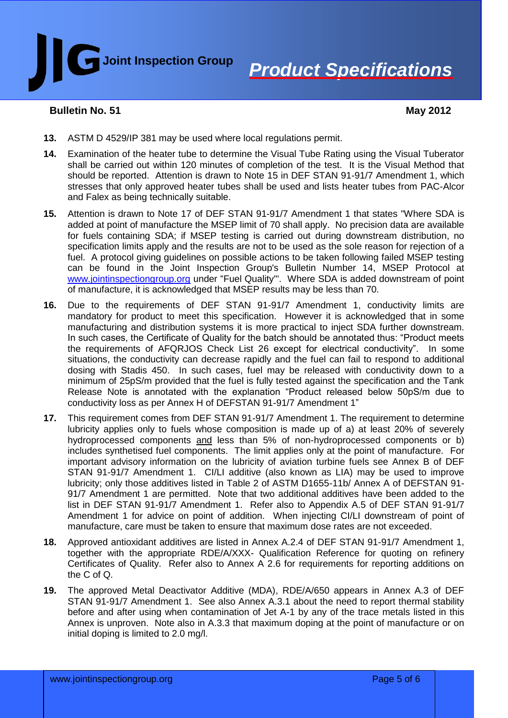

### **Bulletin No. 51**

 **May 2012**

- **13.** ASTM D 4529/IP 381 may be used where local regulations permit.
- **14.** Examination of the heater tube to determine the Visual Tube Rating using the Visual Tuberator shall be carried out within 120 minutes of completion of the test. It is the Visual Method that should be reported. Attention is drawn to Note 15 in DEF STAN 91-91/7 Amendment 1, which stresses that only approved heater tubes shall be used and lists heater tubes from PAC-Alcor and Falex as being technically suitable.
- **15.** Attention is drawn to Note 17 of DEF STAN 91-91/7 Amendment 1 that states "Where SDA is added at point of manufacture the MSEP limit of 70 shall apply. No precision data are available for fuels containing SDA; if MSEP testing is carried out during downstream distribution, no specification limits apply and the results are not to be used as the sole reason for rejection of a fuel. A protocol giving guidelines on possible actions to be taken following failed MSEP testing can be found in the Joint Inspection Group's Bulletin Number 14, MSEP Protocol at [www.jointinspectiongroup.org](http://www.jointinspectiongroup.org/) under "Fuel Quality". Where SDA is added downstream of point of manufacture, it is acknowledged that MSEP results may be less than 70.
- **16.** Due to the requirements of DEF STAN 91-91/7 Amendment 1, conductivity limits are mandatory for product to meet this specification. However it is acknowledged that in some manufacturing and distribution systems it is more practical to inject SDA further downstream. In such cases, the Certificate of Quality for the batch should be annotated thus: "Product meets the requirements of AFQRJOS Check List 26 except for electrical conductivity". In some situations, the conductivity can decrease rapidly and the fuel can fail to respond to additional dosing with Stadis 450. In such cases, fuel may be released with conductivity down to a minimum of 25pS/m provided that the fuel is fully tested against the specification and the Tank Release Note is annotated with the explanation "Product released below 50pS/m due to conductivity loss as per Annex H of DEFSTAN 91-91/7 Amendment 1"
- **17.** This requirement comes from DEF STAN 91-91/7 Amendment 1. The requirement to determine lubricity applies only to fuels whose composition is made up of a) at least 20% of severely hydroprocessed components and less than 5% of non-hydroprocessed components or b) includes synthetised fuel components. The limit applies only at the point of manufacture. For important advisory information on the lubricity of aviation turbine fuels see Annex B of DEF STAN 91-91/7 Amendment 1. CI/LI additive (also known as LIA) may be used to improve lubricity; only those additives listed in Table 2 of ASTM D1655-11b/ Annex A of DEFSTAN 91- 91/7 Amendment 1 are permitted. Note that two additional additives have been added to the list in DEF STAN 91-91/7 Amendment 1. Refer also to Appendix A.5 of DEF STAN 91-91/7 Amendment 1 for advice on point of addition. When injecting CI/LI downstream of point of manufacture, care must be taken to ensure that maximum dose rates are not exceeded.
- **18.** Approved antioxidant additives are listed in Annex A.2.4 of DEF STAN 91-91/7 Amendment 1, together with the appropriate RDE/A/XXX- Qualification Reference for quoting on refinery Certificates of Quality. Refer also to Annex A 2.6 for requirements for reporting additions on the C of Q.
- **19.** The approved Metal Deactivator Additive (MDA), RDE/A/650 appears in Annex A.3 of DEF STAN 91-91/7 Amendment 1. See also Annex A.3.1 about the need to report thermal stability before and after using when contamination of Jet A-1 by any of the trace metals listed in this Annex is unproven. Note also in A.3.3 that maximum doping at the point of manufacture or on initial doping is limited to 2.0 mg/l.